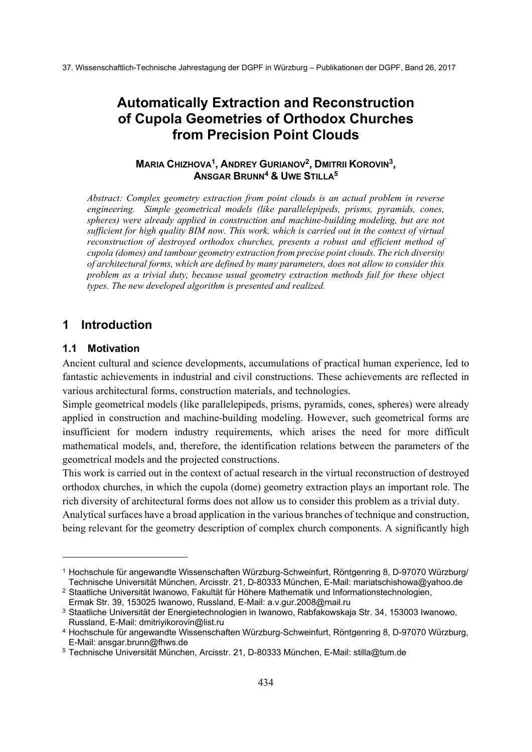# **Automatically Extraction and Reconstruction of Cupola Geometries of Orthodox Churches from Precision Point Clouds**

### **MARIA CHIZHOVA1, ANDREY GURIANOV2, DMITRII KOROVIN3, ANSGAR BRUNN4 & UWE STILLA5**

*Abstract: Complex geometry extraction from point clouds is an actual problem in reverse engineering. Simple geometrical models (like parallelepipeds, prisms, pyramids, cones, spheres) were already applied in construction and machine-building modeling, but are not sufficient for high quality BIM now. This work, which is carried out in the context of virtual reconstruction of destroyed orthodox churches, presents a robust and efficient method of cupola (domes) and tambour geometry extraction from precise point clouds. The rich diversity of architectural forms, which are defined by many parameters, does not allow to consider this problem as a trivial duty, because usual geometry extraction methods fail for these object types. The new developed algorithm is presented and realized.* 

# **1 Introduction**

### **1.1 Motivation**

-

Ancient cultural and science developments, accumulations of practical human experience, led to fantastic achievements in industrial and civil constructions. These achievements are reflected in various architectural forms, construction materials, and technologies.

Simple geometrical models (like parallelepipeds, prisms, pyramids, cones, spheres) were already applied in construction and machine-building modeling. However, such geometrical forms are insufficient for modern industry requirements, which arises the need for more difficult mathematical models, and, therefore, the identification relations between the parameters of the geometrical models and the projected constructions.

This work is carried out in the context of actual research in the virtual reconstruction of destroyed orthodox churches, in which the cupola (dome) geometry extraction plays an important role. The rich diversity of architectural forms does not allow us to consider this problem as a trivial duty.

Analytical surfaces have a broad application in the various branches of technique and construction, being relevant for the geometry description of complex church components. A significantly high

<sup>1</sup> Hochschule für angewandte Wissenschaften Würzburg-Schweinfurt, Röntgenring 8, D-97070 Würzburg/ Technische Universität München, Arcisstr. 21, D-80333 München, E-Mail: mariatschishowa@yahoo.de

<sup>2</sup> Staatliche Universität Iwanowo, Fakultät für Höhere Mathematik und Informationstechnologien, Ermak Str. 39, 153025 Iwanowo, Russland, E-Mail: a.v.gur.2008@mail.ru

<sup>3</sup> Staatliche Universität der Energietechnologien in Iwanowo, Rabfakowskaja Str. 34, 153003 Iwanowo, Russland, E-Mail: dmitriyikorovin@list.ru

<sup>4</sup> Hochschule für angewandte Wissenschaften Würzburg-Schweinfurt, Röntgenring 8, D-97070 Würzburg, E-Mail: ansgar.brunn@fhws.de

<sup>5</sup> Technische Universität München, Arcisstr. 21, D-80333 München, E-Mail: stilla@tum.de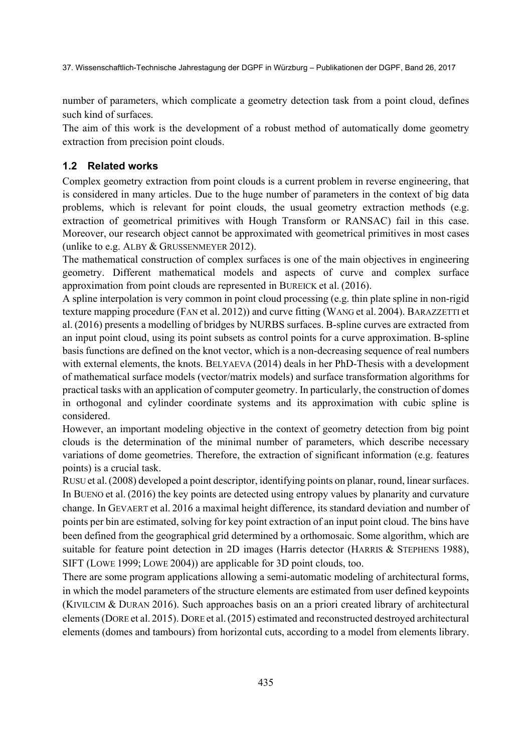number of parameters, which complicate a geometry detection task from a point cloud, defines such kind of surfaces.

The aim of this work is the development of a robust method of automatically dome geometry extraction from precision point clouds.

## **1.2 Related works**

Complex geometry extraction from point clouds is a current problem in reverse engineering, that is considered in many articles. Due to the huge number of parameters in the context of big data problems, which is relevant for point clouds, the usual geometry extraction methods (e.g. extraction of geometrical primitives with Hough Transform or RANSAC) fail in this case. Moreover, our research object cannot be approximated with geometrical primitives in most cases (unlike to e.g. ALBY & GRUSSENMEYER 2012).

The mathematical construction of complex surfaces is one of the main objectives in engineering geometry. Different mathematical models and aspects of curve and complex surface approximation from point clouds are represented in BUREICK et al. (2016).

A spline interpolation is very common in point cloud processing (e.g. thin plate spline in non-rigid texture mapping procedure (FAN et al. 2012)) and curve fitting (WANG et al. 2004). BARAZZETTI et al. (2016) presents a modelling of bridges by NURBS surfaces. B-spline curves are extracted from an input point cloud, using its point subsets as control points for a curve approximation. B-spline basis functions are defined on the knot vector, which is a non-decreasing sequence of real numbers with external elements, the knots. BELYAEVA (2014) deals in her PhD-Thesis with a development of mathematical surface models (vector/matrix models) and surface transformation algorithms for practical tasks with an application of computer geometry. In particularly, the construction of domes in orthogonal and cylinder coordinate systems and its approximation with cubic spline is considered.

However, an important modeling objective in the context of geometry detection from big point clouds is the determination of the minimal number of parameters, which describe necessary variations of dome geometries. Therefore, the extraction of significant information (e.g. features points) is a crucial task.

RUSU et al.(2008) developed a point descriptor, identifying points on planar, round, linear surfaces. In BUENO et al. (2016) the key points are detected using entropy values by planarity and curvature change. In GEVAERT et al. 2016 a maximal height difference, its standard deviation and number of points per bin are estimated, solving for key point extraction of an input point cloud. The bins have been defined from the geographical grid determined by a orthomosaic. Some algorithm, which are suitable for feature point detection in 2D images (Harris detector (HARRIS & STEPHENS 1988), SIFT (LOWE 1999; LOWE 2004)) are applicable for 3D point clouds, too.

There are some program applications allowing a semi-automatic modeling of architectural forms, in which the model parameters of the structure elements are estimated from user defined keypoints (KIVILCIM & DURAN 2016). Such approaches basis on an a priori created library of architectural elements (DORE et al. 2015). DORE et al.(2015) estimated and reconstructed destroyed architectural elements (domes and tambours) from horizontal cuts, according to a model from elements library.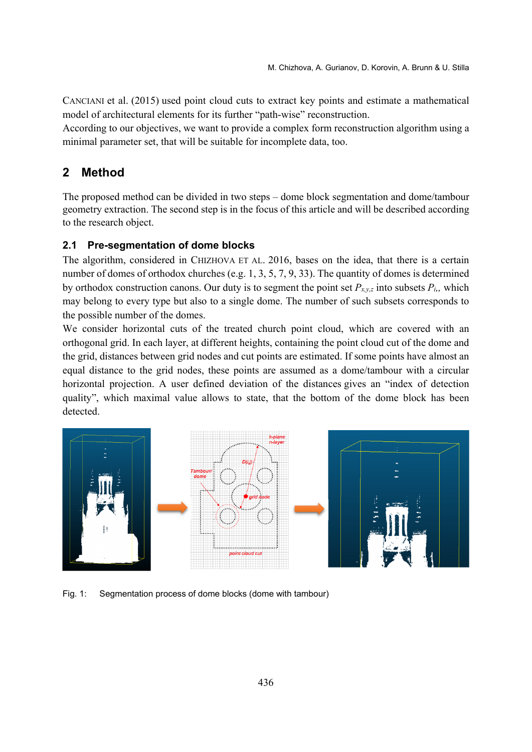CANCIANI et al. (2015) used point cloud cuts to extract key points and estimate a mathematical model of architectural elements for its further "path-wise" reconstruction.

According to our objectives, we want to provide a complex form reconstruction algorithm using a minimal parameter set, that will be suitable for incomplete data, too.

# **2 Method**

The proposed method can be divided in two steps – dome block segmentation and dome/tambour geometry extraction. The second step is in the focus of this article and will be described according to the research object.

#### **2.1 Pre-segmentation of dome blocks**

The algorithm, considered in CHIZHOVA ET AL. 2016, bases on the idea, that there is a certain number of domes of orthodox churches (e.g. 1, 3, 5, 7, 9, 33). The quantity of domes is determined by orthodox construction canons. Our duty is to segment the point set  $P_{x,y,z}$  into subsets  $P_i$ , which may belong to every type but also to a single dome. The number of such subsets corresponds to the possible number of the domes.

We consider horizontal cuts of the treated church point cloud, which are covered with an orthogonal grid. In each layer, at different heights, containing the point cloud cut of the dome and the grid, distances between grid nodes and cut points are estimated. If some points have almost an equal distance to the grid nodes, these points are assumed as a dome/tambour with a circular horizontal projection. A user defined deviation of the distances gives an "index of detection quality", which maximal value allows to state, that the bottom of the dome block has been detected.



Fig. 1: Segmentation process of dome blocks (dome with tambour)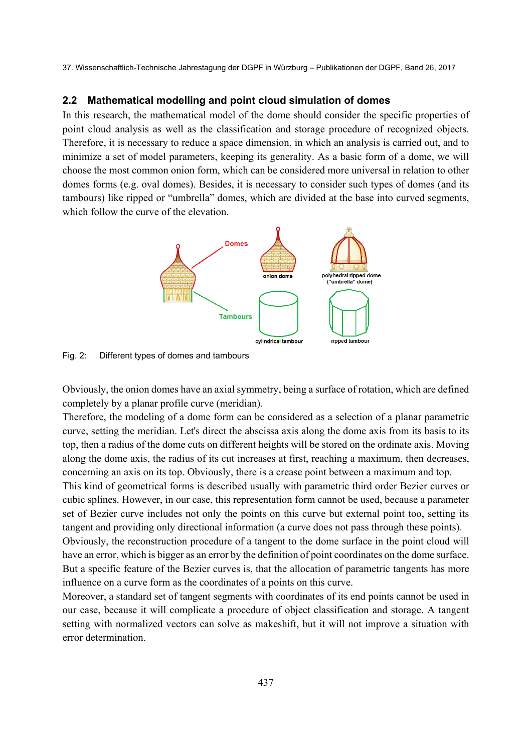#### **2.2 Mathematical modelling and point cloud simulation of domes**

In this research, the mathematical model of the dome should consider the specific properties of point cloud analysis as well as the classification and storage procedure of recognized objects. Therefore, it is necessary to reduce a space dimension, in which an analysis is carried out, and to minimize a set of model parameters, keeping its generality. As a basic form of a dome, we will choose the most common onion form, which can be considered more universal in relation to other domes forms (e.g. oval domes). Besides, it is necessary to consider such types of domes (and its tambours) like ripped or "umbrella" domes, which are divided at the base into curved segments, which follow the curve of the elevation.



Fig. 2: Different types of domes and tambours

Obviously, the onion domes have an axial symmetry, being a surface of rotation, which are defined completely by a planar profile curve (meridian).

Therefore, the modeling of a dome form can be considered as a selection of a planar parametric curve, setting the meridian. Let's direct the abscissa axis along the dome axis from its basis to its top, then a radius of the dome cuts on different heights will be stored on the ordinate axis. Moving along the dome axis, the radius of its cut increases at first, reaching a maximum, then decreases, concerning an axis on its top. Obviously, there is a crease point between a maximum and top.

This kind of geometrical forms is described usually with parametric third order Bezier curves or cubic splines. However, in our case, this representation form cannot be used, because a parameter set of Bezier curve includes not only the points on this curve but external point too, setting its tangent and providing only directional information (a curve does not pass through these points).

Obviously, the reconstruction procedure of a tangent to the dome surface in the point cloud will have an error, which is bigger as an error by the definition of point coordinates on the dome surface. But a specific feature of the Bezier curves is, that the allocation of parametric tangents has more influence on a curve form as the coordinates of a points on this curve.

Moreover, a standard set of tangent segments with coordinates of its end points cannot be used in our case, because it will complicate a procedure of object classification and storage. A tangent setting with normalized vectors can solve as makeshift, but it will not improve a situation with error determination.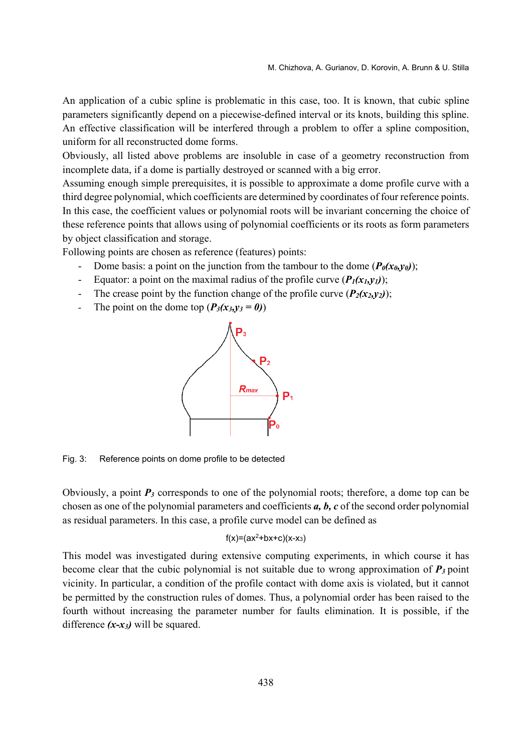An application of a cubic spline is problematic in this case, too. It is known, that cubic spline parameters significantly depend on a piecewise-defined interval or its knots, building this spline. An effective classification will be interfered through a problem to offer a spline composition, uniform for all reconstructed dome forms.

Obviously, all listed above problems are insoluble in case of a geometry reconstruction from incomplete data, if a dome is partially destroyed or scanned with a big error.

Assuming enough simple prerequisites, it is possible to approximate a dome profile curve with a third degree polynomial, which coefficients are determined by coordinates of four reference points. In this case, the coefficient values or polynomial roots will be invariant concerning the choice of these reference points that allows using of polynomial coefficients or its roots as form parameters by object classification and storage.

Following points are chosen as reference (features) points:

- Dome basis: a point on the junction from the tambour to the dome  $(P_0(x_0, v_0))$ ;
- Equator: a point on the maximal radius of the profile curve  $(P_I(x_I, y_I))$ ;
- The crease point by the function change of the profile curve  $(P_2(x_2, y_2))$ ;
- The point on the dome top  $(P_3(x_3, y_3 = 0))$



Fig. 3: Reference points on dome profile to be detected

Obviously, a point *Р3* corresponds to one of the polynomial roots; therefore, a dome top can be chosen as one of the polynomial parameters and coefficients *a, b, c* of the second order polynomial as residual parameters. In this case, a profile curve model can be defined as

#### $f(x)=(ax^2+bx+c)(x-x_3)$

This model was investigated during extensive computing experiments, in which course it has become clear that the cubic polynomial is not suitable due to wrong approximation of *Р3* point vicinity. In particular, a condition of the profile contact with dome axis is violated, but it cannot be permitted by the construction rules of domes. Thus, a polynomial order has been raised to the fourth without increasing the parameter number for faults elimination. It is possible, if the difference  $(x-x_3)$  will be squared.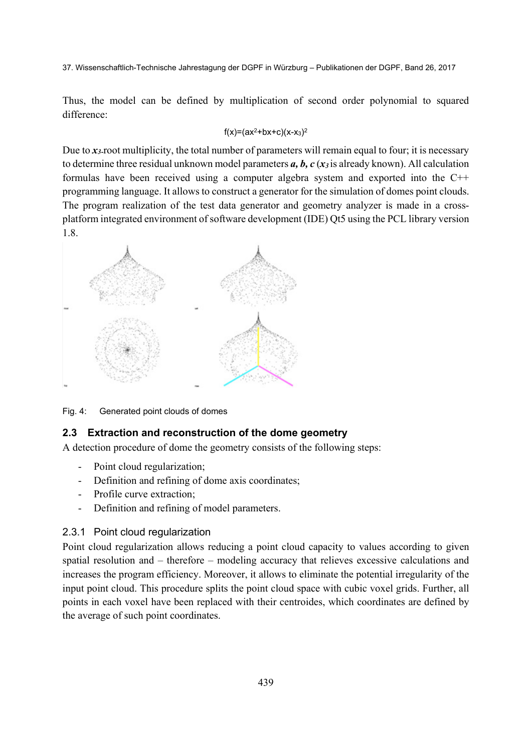Thus, the model can be defined by multiplication of second order polynomial to squared difference:

### $f(x)=(ax^2+bx+c)(x-x_3)^2$

Due to  $x_3$ -root multiplicity, the total number of parameters will remain equal to four; it is necessary to determine three residual unknown model parameters *a, b, c* (*x3* is already known). All calculation formulas have been received using a computer algebra system and exported into the C++ programming language. It allows to construct a generator for the simulation of domes point clouds. The program realization of the test data generator and geometry analyzer is made in a crossplatform integrated environment of software development (IDE) Qt5 using the PCL library version 1.8.



Fig. 4: Generated point clouds of domes

### **2.3 Extraction and reconstruction of the dome geometry**

A detection procedure of dome the geometry consists of the following steps:

- Point cloud regularization;
- Definition and refining of dome axis coordinates;
- Profile curve extraction;
- Definition and refining of model parameters.

### 2.3.1 Point cloud regularization

Point cloud regularization allows reducing a point cloud capacity to values according to given spatial resolution and – therefore – modeling accuracy that relieves excessive calculations and increases the program efficiency. Moreover, it allows to eliminate the potential irregularity of the input point cloud. This procedure splits the point cloud space with cubic voxel grids. Further, all points in each voxel have been replaced with their centroides, which coordinates are defined by the average of such point coordinates.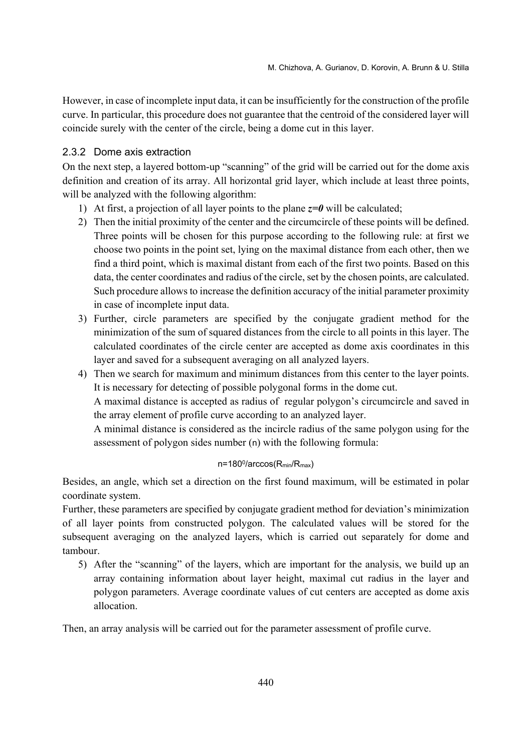However, in case of incomplete input data, it can be insufficiently for the construction of the profile curve. In particular, this procedure does not guarantee that the centroid of the considered layer will coincide surely with the center of the circle, being a dome cut in this layer.

#### 2.3.2 Dome axis extraction

On the next step, a layered bottom-up "scanning" of the grid will be carried out for the dome axis definition and creation of its array. All horizontal grid layer, which include at least three points, will be analyzed with the following algorithm:

- 1) At first, a projection of all layer points to the plane  $z=0$  will be calculated;
- 2) Then the initial proximity of the center and the circumcircle of these points will be defined. Three points will be chosen for this purpose according to the following rule: at first we choose two points in the point set, lying on the maximal distance from each other, then we find a third point, which is maximal distant from each of the first two points. Based on this data, the center coordinates and radius of the circle, set by the chosen points, are calculated. Such procedure allows to increase the definition accuracy of the initial parameter proximity in case of incomplete input data.
- 3) Further, circle parameters are specified by the conjugate gradient method for the minimization of the sum of squared distances from the circle to all points in this layer. The calculated coordinates of the circle center are accepted as dome axis coordinates in this layer and saved for a subsequent averaging on all analyzed layers.
- 4) Then we search for maximum and minimum distances from this center to the layer points. It is necessary for detecting of possible polygonal forms in the dome cut.

A maximal distance is accepted as radius of regular polygon's circumcircle and saved in the array element of profile curve according to an analyzed layer.

A minimal distance is considered as the incircle radius of the same polygon using for the assessment of polygon sides number (n) with the following formula:

#### n=1800/arccos(Rmin/Rmax)

Besides, an angle, which set a direction on the first found maximum, will be estimated in polar coordinate system.

Further, these parameters are specified by conjugate gradient method for deviation's minimization of all layer points from constructed polygon. The calculated values will be stored for the subsequent averaging on the analyzed layers, which is carried out separately for dome and tambour.

5) After the "scanning" of the layers, which are important for the analysis, we build up an array containing information about layer height, maximal cut radius in the layer and polygon parameters. Average coordinate values of cut centers are accepted as dome axis allocation.

Then, an array analysis will be carried out for the parameter assessment of profile curve.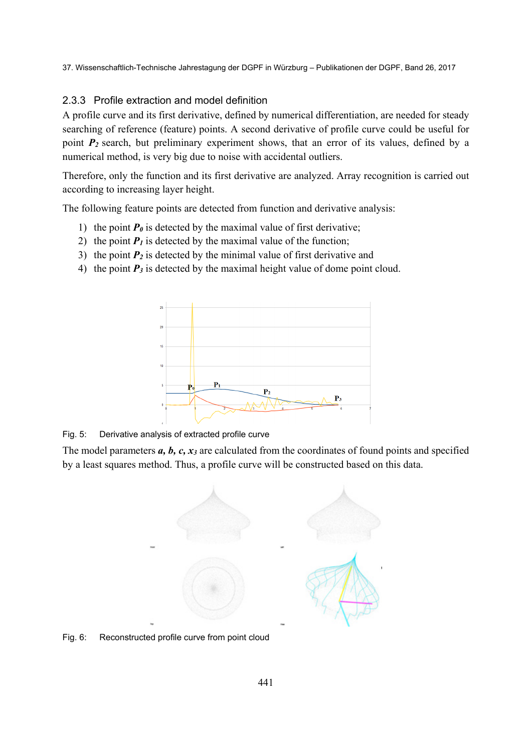#### 2.3.3 Profile extraction and model definition

A profile curve and its first derivative, defined by numerical differentiation, are needed for steady searching of reference (feature) points. A second derivative of profile curve could be useful for point *P2* search, but preliminary experiment shows, that an error of its values, defined by a numerical method, is very big due to noise with accidental outliers.

Therefore, only the function and its first derivative are analyzed. Array recognition is carried out according to increasing layer height.

The following feature points are detected from function and derivative analysis:

- 1) the point  $P_0$  is detected by the maximal value of first derivative;
- 2) the point  $P_1$  is detected by the maximal value of the function;
- 3) the point  $P_2$  is detected by the minimal value of first derivative and
- 4) the point  $P_3$  is detected by the maximal height value of dome point cloud.



Fig. 5: Derivative analysis of extracted profile curve

The model parameters *a, b, c, x3* are calculated from the coordinates of found points and specified by a least squares method. Thus, a profile curve will be constructed based on this data.



Fig. 6: Reconstructed profile curve from point cloud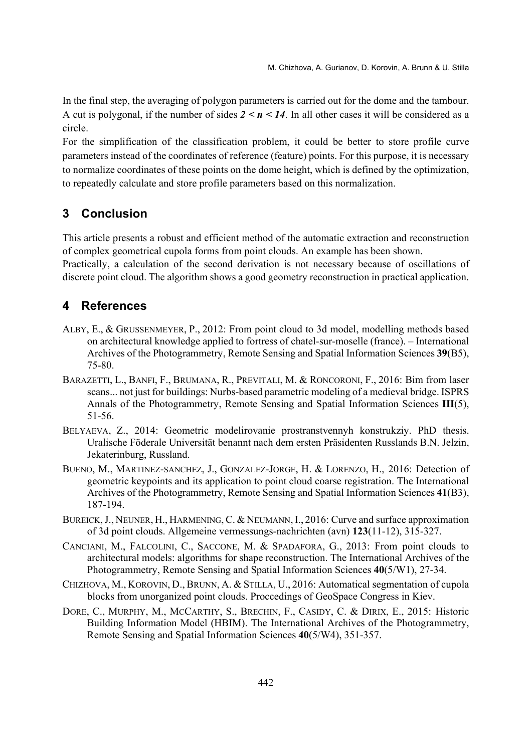In the final step, the averaging of polygon parameters is carried out for the dome and the tambour. A cut is polygonal, if the number of sides  $2 \le n \le 14$ . In all other cases it will be considered as a circle.

For the simplification of the classification problem, it could be better to store profile curve parameters instead of the coordinates of reference (feature) points. For this purpose, it is necessary to normalize coordinates of these points on the dome height, which is defined by the optimization, to repeatedly calculate and store profile parameters based on this normalization.

## **3 Conclusion**

This article presents a robust and efficient method of the automatic extraction and reconstruction of complex geometrical cupola forms from point clouds. An example has been shown.

Practically, a calculation of the second derivation is not necessary because of oscillations of discrete point cloud. The algorithm shows a good geometry reconstruction in practical application.

### **4 References**

- ALBY, E., & GRUSSENMEYER, P., 2012: From point cloud to 3d model, modelling methods based on architectural knowledge applied to fortress of chatel-sur-moselle (france). – International Archives of the Photogrammetry, Remote Sensing and Spatial Information Sciences **39**(B5), 75-80.
- BARAZETTI, L., BANFI, F., BRUMANA, R., PREVITALI, M. & RONCORONI, F., 2016: Bim from laser scans... not just for buildings: Nurbs-based parametric modeling of a medieval bridge. ISPRS Annals of the Photogrammetry, Remote Sensing and Spatial Information Sciences **III**(5), 51-56.
- BELYAEVA, Z., 2014: Geometric modelirovanie prostranstvennyh konstrukziy. PhD thesis. Uralische Föderale Universität benannt nach dem ersten Präsidenten Russlands B.N. Jelzin, Jekaterinburg, Russland.
- BUENO, M., MARTINEZ-SANCHEZ, J., GONZALEZ-JORGE, H. & LORENZO, H., 2016: Detection of geometric keypoints and its application to point cloud coarse registration. The International Archives of the Photogrammetry, Remote Sensing and Spatial Information Sciences **41**(B3), 187-194.
- BUREICK, J., NEUNER, H., HARMENING, C. & NEUMANN, I., 2016: Curve and surface approximation of 3d point clouds. Allgemeine vermessungs-nachrichten (avn) **123**(11-12), 315-327.
- CANCIANI, M., FALCOLINI, C., SACCONE, M. & SPADAFORA, G., 2013: From point clouds to architectural models: algorithms for shape reconstruction. The International Archives of the Photogrammetry, Remote Sensing and Spatial Information Sciences **40**(5/W1), 27-34.
- CHIZHOVA, M., KOROVIN, D., BRUNN, A. & STILLA, U., 2016: Automatical segmentation of cupola blocks from unorganized point clouds. Proccedings of GeoSpace Congress in Kiev.
- DORE, C., MURPHY, M., MCCARTHY, S., BRECHIN, F., CASIDY, C. & DIRIX, E., 2015: Historic Building Information Model (HBIM). The International Archives of the Photogrammetry, Remote Sensing and Spatial Information Sciences **40**(5/W4), 351-357.